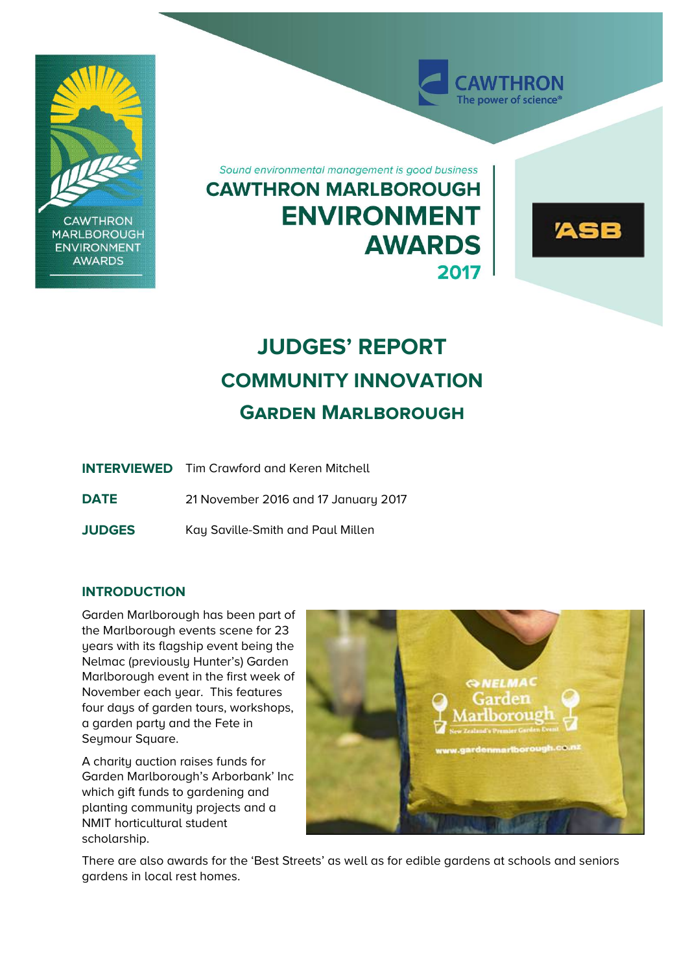

**CAWTHRON MARLBOROUGH ENVIRONMENT AWARDS** 

Sound environmental management is good business **CAWTHRON MARLBOROUGH ENVIRONMENT AWARDS** 2017



**WTHRON** The power of science<sup>®</sup>

# **JUDGES' REPORT COMMUNITY INNOVATION Garden Marlborough**

|               | <b>INTERVIEWED</b> Tim Crawford and Keren Mitchell |
|---------------|----------------------------------------------------|
| <b>DATE</b>   | 21 November 2016 and 17 January 2017               |
| <b>JUDGES</b> | Kay Saville-Smith and Paul Millen                  |

## **INTRODUCTION**

Garden Marlborough has been part of the Marlborough events scene for 23 years with its flagship event being the Nelmac (previously Hunter's) Garden Marlborough event in the first week of November each year. This features four days of garden tours, workshops, a garden party and the Fete in Seymour Square.

A charity auction raises funds for Garden Marlborough's Arborbank' Inc which gift funds to gardening and planting community projects and a NMIT horticultural student scholarship.



There are also awards for the 'Best Streets' as well as for edible gardens at schools and seniors gardens in local rest homes.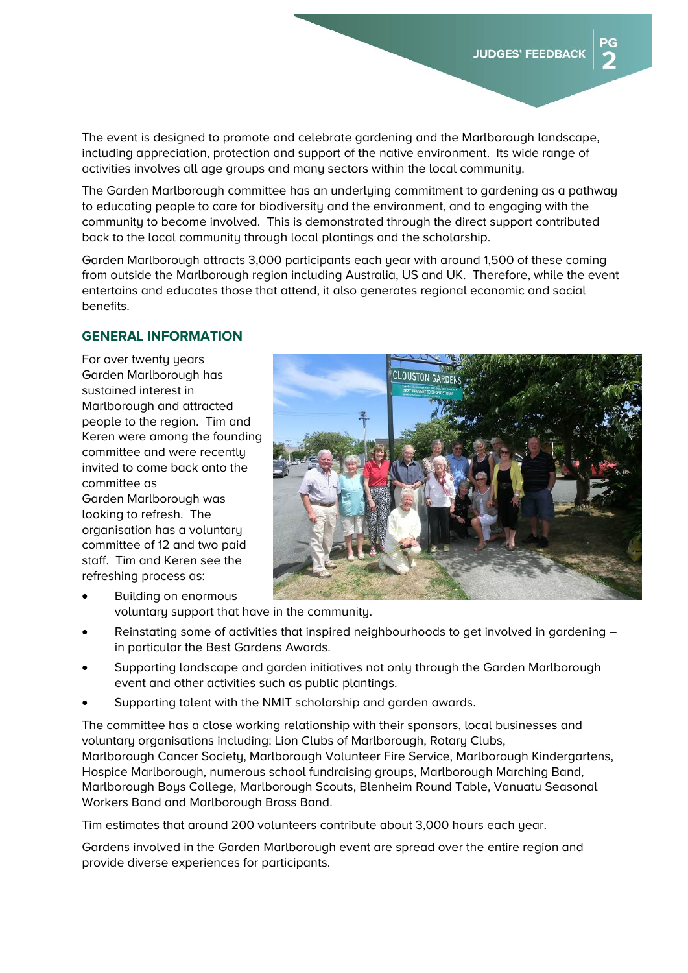The event is designed to promote and celebrate gardening and the Marlborough landscape, including appreciation, protection and support of the native environment. Its wide range of activities involves all age groups and many sectors within the local community.

The Garden Marlborough committee has an underlying commitment to gardening as a pathway to educating people to care for biodiversity and the environment, and to engaging with the community to become involved. This is demonstrated through the direct support contributed back to the local community through local plantings and the scholarship.

Garden Marlborough attracts 3,000 participants each year with around 1,500 of these coming from outside the Marlborough region including Australia, US and UK. Therefore, while the event entertains and educates those that attend, it also generates regional economic and social benefits.

#### **GENERAL INFORMATION**

For over twenty years Garden Marlborough has sustained interest in Marlborough and attracted people to the region. Tim and Keren were among the founding committee and were recently invited to come back onto the committee as Garden Marlborough was looking to refresh. The organisation has a voluntary committee of 12 and two paid staff. Tim and Keren see the refreshing process as:



- Building on enormous voluntary support that have in the community.
- Reinstating some of activities that inspired neighbourhoods to get involved in gardening in particular the Best Gardens Awards.
- Supporting landscape and garden initiatives not only through the Garden Marlborough event and other activities such as public plantings.
- Supporting talent with the NMIT scholarship and garden awards.

The committee has a close working relationship with their sponsors, local businesses and voluntary organisations including: Lion Clubs of Marlborough, Rotary Clubs, Marlborough Cancer Society, Marlborough Volunteer Fire Service, Marlborough Kindergartens, Hospice Marlborough, numerous school fundraising groups, Marlborough Marching Band, Marlborough Boys College, Marlborough Scouts, Blenheim Round Table, Vanuatu Seasonal Workers Band and Marlborough Brass Band.

Tim estimates that around 200 volunteers contribute about 3,000 hours each year.

Gardens involved in the Garden Marlborough event are spread over the entire region and provide diverse experiences for participants.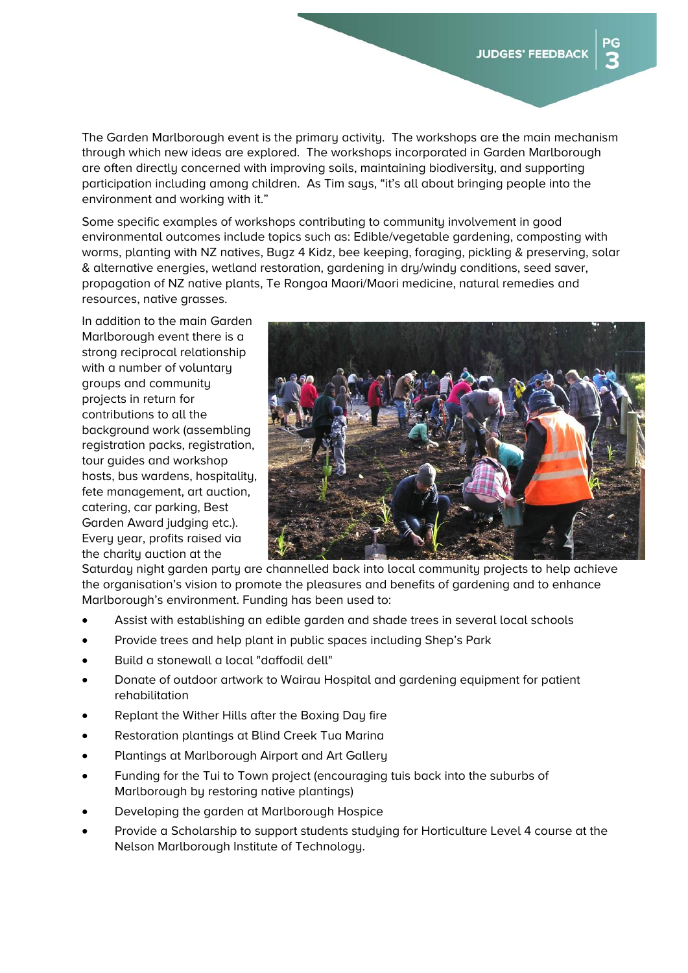The Garden Marlborough event is the primary activity. The workshops are the main mechanism through which new ideas are explored. The workshops incorporated in Garden Marlborough are often directly concerned with improving soils, maintaining biodiversity, and supporting participation including among children. As Tim says, "it's all about bringing people into the environment and working with it."

Some specific examples of workshops contributing to community involvement in good environmental outcomes include topics such as: Edible/vegetable gardening, composting with worms, planting with NZ natives, Bugz 4 Kidz, bee keeping, foraging, pickling & preserving, solar & alternative energies, wetland restoration, gardening in dry/windy conditions, seed saver, propagation of NZ native plants, Te Rongoa Maori/Maori medicine, natural remedies and resources, native grasses.

In addition to the main Garden Marlborough event there is a strong reciprocal relationship with a number of voluntary groups and community projects in return for contributions to all the background work (assembling registration packs, registration, tour guides and workshop hosts, bus wardens, hospitality, fete management, art auction, catering, car parking, Best Garden Award judging etc.). Every year, profits raised via the charity auction at the



Saturday night garden party are channelled back into local community projects to help achieve the organisation's vision to promote the pleasures and benefits of gardening and to enhance Marlborough's environment. Funding has been used to:

- Assist with establishing an edible garden and shade trees in several local schools
- Provide trees and help plant in public spaces including Shep's Park
- Build a stonewall a local "daffodil dell"
- Donate of outdoor artwork to Wairau Hospital and gardening equipment for patient rehabilitation
- Replant the Wither Hills after the Boxing Day fire
- Restoration plantings at Blind Creek Tua Marina
- Plantings at Marlborough Airport and Art Gallery
- Funding for the Tui to Town project (encouraging tuis back into the suburbs of Marlborough by restoring native plantings)
- Developing the garden at Marlborough Hospice
- Provide a Scholarship to support students studying for Horticulture Level 4 course at the Nelson Marlborough Institute of Technology.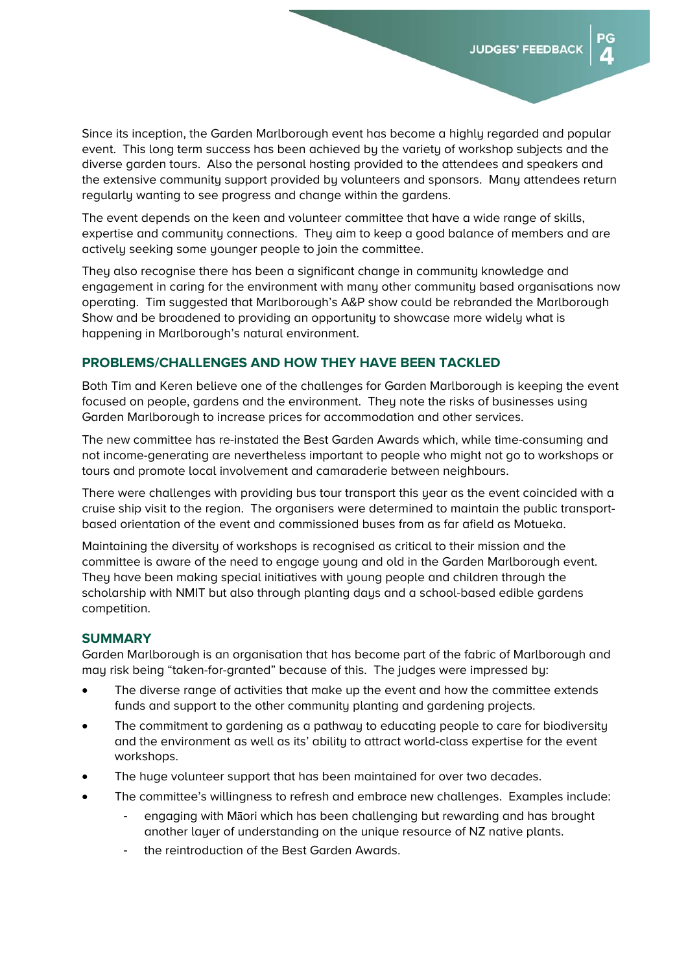הפ

Since its inception, the Garden Marlborough event has become a highly regarded and popular event. This long term success has been achieved by the variety of workshop subjects and the diverse garden tours. Also the personal hosting provided to the attendees and speakers and the extensive community support provided by volunteers and sponsors. Many attendees return regularly wanting to see progress and change within the gardens.

The event depends on the keen and volunteer committee that have a wide range of skills, expertise and community connections. They aim to keep a good balance of members and are actively seeking some younger people to join the committee.

They also recognise there has been a significant change in community knowledge and engagement in caring for the environment with many other community based organisations now operating. Tim suggested that Marlborough's A&P show could be rebranded the Marlborough Show and be broadened to providing an opportunity to showcase more widely what is happening in Marlborough's natural environment.

## **PROBLEMS/CHALLENGES AND HOW THEY HAVE BEEN TACKLED**

Both Tim and Keren believe one of the challenges for Garden Marlborough is keeping the event focused on people, gardens and the environment. They note the risks of businesses using Garden Marlborough to increase prices for accommodation and other services.

The new committee has re-instated the Best Garden Awards which, while time-consuming and not income-generating are nevertheless important to people who might not go to workshops or tours and promote local involvement and camaraderie between neighbours.

There were challenges with providing bus tour transport this year as the event coincided with a cruise ship visit to the region. The organisers were determined to maintain the public transportbased orientation of the event and commissioned buses from as far afield as Motueka.

Maintaining the diversity of workshops is recognised as critical to their mission and the committee is aware of the need to engage young and old in the Garden Marlborough event. They have been making special initiatives with young people and children through the scholarship with NMIT but also through planting days and a school-based edible gardens competition.

#### **SUMMARY**

Garden Marlborough is an organisation that has become part of the fabric of Marlborough and may risk being "taken-for-granted" because of this. The judges were impressed by:

- The diverse range of activities that make up the event and how the committee extends funds and support to the other community planting and gardening projects.
- The commitment to gardening as a pathway to educating people to care for biodiversity and the environment as well as its' ability to attract world-class expertise for the event workshops.
- The huge volunteer support that has been maintained for over two decades.
- The committee's willingness to refresh and embrace new challenges. Examples include:
	- engaging with Māori which has been challenging but rewarding and has brought another layer of understanding on the unique resource of NZ native plants.
	- the reintroduction of the Best Garden Awards.